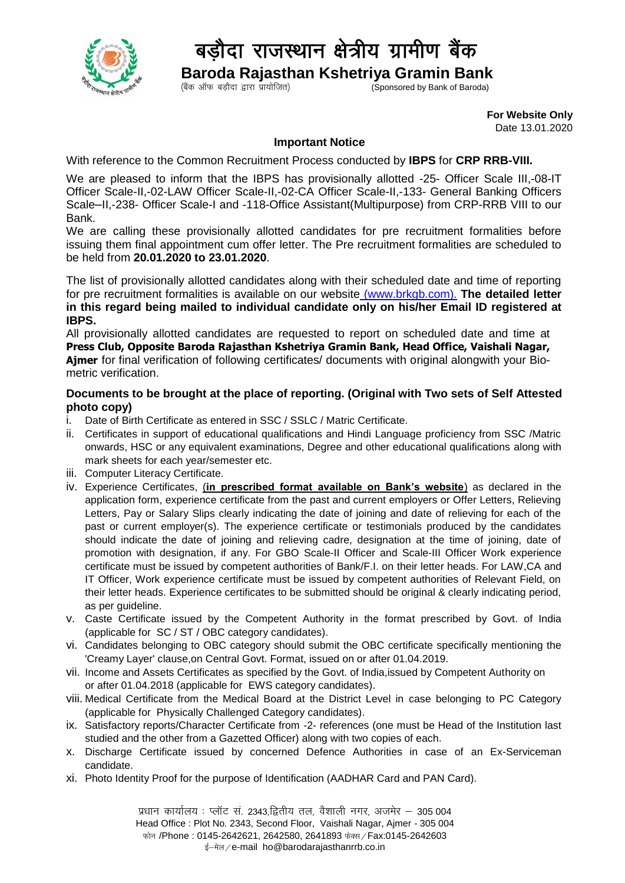

## बड़ौदा राजस्थान क्षेत्रीय ग्रामीण बैंक

 **Baroda Rajasthan Kshetriya Gramin Bank** Sponsored by Bank of Baroda)

> **For Website Only**  Date 13.01.2020

## **Important Notice**

With reference to the Common Recruitment Process conducted by **IBPS** for **CRP RRB-VIII.**

We are pleased to inform that the IBPS has provisionally allotted -25- Officer Scale III,-08-IT Officer Scale-II,-02-LAW Officer Scale-II,-02-CA Officer Scale-II,-133- General Banking Officers Scale–II,-238- Officer Scale-I and -118-Office Assistant(Multipurpose) from CRP-RRB VIII to our Bank.

We are calling these provisionally allotted candidates for pre recruitment formalities before issuing them final appointment cum offer letter. The Pre recruitment formalities are scheduled to be held from **20.01.2020 to 23.01.2020**.

The list of provisionally allotted candidates along with their scheduled date and time of reporting for pre recruitment formalities is available on our website [\(www.brkgb.com\)](http://www.brkgb.com/). **The detailed letter in this regard being mailed to individual candidate only on his/her Email ID registered at IBPS.**

All provisionally allotted candidates are requested to report on scheduled date and time at **Press Club, Opposite Baroda Rajasthan Kshetriya Gramin Bank, Head Office, Vaishali Nagar, Ajmer** for final verification of following certificates/ documents with original alongwith your Biometric verification.

## **Documents to be brought at the place of reporting. (Original with Two sets of Self Attested photo copy)**

- i. Date of Birth Certificate as entered in SSC / SSLC / Matric Certificate.
- ii. Certificates in support of educational qualifications and Hindi Language proficiency from SSC /Matric onwards, HSC or any equivalent examinations, Degree and other educational qualifications along with mark sheets for each year/semester etc.
- iii. Computer Literacy Certificate.
- iv. Experience Certificates, (**in prescribed format available on Bank's website**) as declared in the application form, experience certificate from the past and current employers or Offer Letters, Relieving Letters, Pay or Salary Slips clearly indicating the date of joining and date of relieving for each of the past or current employer(s). The experience certificate or testimonials produced by the candidates should indicate the date of joining and relieving cadre, designation at the time of joining, date of promotion with designation, if any. For GBO Scale-II Officer and Scale-III Officer Work experience certificate must be issued by competent authorities of Bank/F.I. on their letter heads. For LAW,CA and IT Officer, Work experience certificate must be issued by competent authorities of Relevant Field, on their letter heads. Experience certificates to be submitted should be original & clearly indicating period, as per guideline.
- v. Caste Certificate issued by the Competent Authority in the format prescribed by Govt. of India (applicable for SC / ST / OBC category candidates).
- vi. Candidates belonging to OBC category should submit the OBC certificate specifically mentioning the 'Creamy Layer' clause,on Central Govt. Format, issued on or after 01.04.2019.
- vii. Income and Assets Certificates as specified by the Govt. of India,issued by Competent Authority on or after 01.04.2018 (applicable for EWS category candidates).
- viii. Medical Certificate from the Medical Board at the District Level in case belonging to PC Category (applicable for Physically Challenged Category candidates).
- ix. Satisfactory reports/Character Certificate from -2- references (one must be Head of the Institution last studied and the other from a Gazetted Officer) along with two copies of each.
- x. Discharge Certificate issued by concerned Defence Authorities in case of an Ex-Serviceman candidate.
- xi. Photo Identity Proof for the purpose of Identification (AADHAR Card and PAN Card).